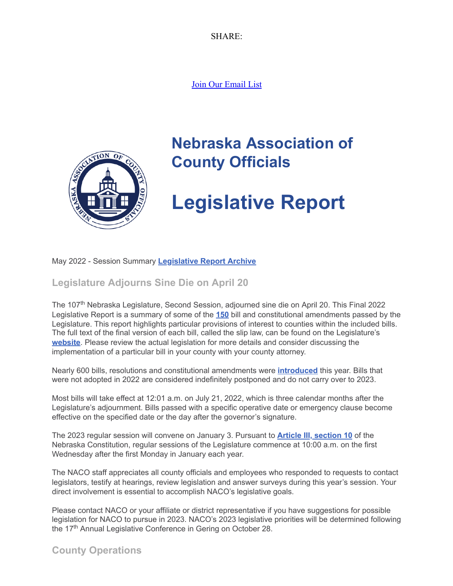SHARE:

[Join Our Email List](https://visitor.constantcontact.com/d.jsp?m=1104412315568&p=oi)



# **Nebraska Association of County Officials**

# **Legislative Report**

#### May 2022 - Session Summary **[Legislative Report Archive](https://nacone.org/webpages/legislative/legislative_newsletter.html)**

**Legislature Adjourns Sine Die on April 20**

The 107<sup>th</sup> Nebraska Legislature, Second Session, adjourned sine die on April 20. This Final 2022 Legislative Report is a summary of some of the **[150](https://nebraskalegislature.gov/FloorDocs/107/PDF/WorkSheet/r2dayafteradjournment.pdf)** bill and constitutional amendments passed by the Legislature. This report highlights particular provisions of interest to counties within the included bills. The full text of the final version of each bill, called the slip law, can be found on the Legislature's **[website](https://nebraskalegislature.gov/)**. Please review the actual legislation for more details and consider discussing the implementation of a particular bill in your county with your county attorney.

Nearly 600 bills, resolutions and constitutional amendments were **[introduced](https://nebraskalegislature.gov/bills/search_by_date.php?SessionDay=2022)** this year. Bills that were not adopted in 2022 are considered indefinitely postponed and do not carry over to 2023.

Most bills will take effect at 12:01 a.m. on July 21, 2022, which is three calendar months after the Legislature's adjournment. Bills passed with a specific operative date or emergency clause become effective on the specified date or the day after the governor's signature.

The 2023 regular session will convene on January 3. Pursuant to **[Article III, section 10](https://nebraskalegislature.gov/laws/articles.php?article=III-10)** of the Nebraska Constitution, regular sessions of the Legislature commence at 10:00 a.m. on the first Wednesday after the first Monday in January each year.

The NACO staff appreciates all county officials and employees who responded to requests to contact legislators, testify at hearings, review legislation and answer surveys during this year's session. Your direct involvement is essential to accomplish NACO's legislative goals.

Please contact NACO or your affiliate or district representative if you have suggestions for possible legislation for NACO to pursue in 2023. NACO's 2023 legislative priorities will be determined following the 17<sup>th</sup> Annual Legislative Conference in Gering on October 28.

**County Operations**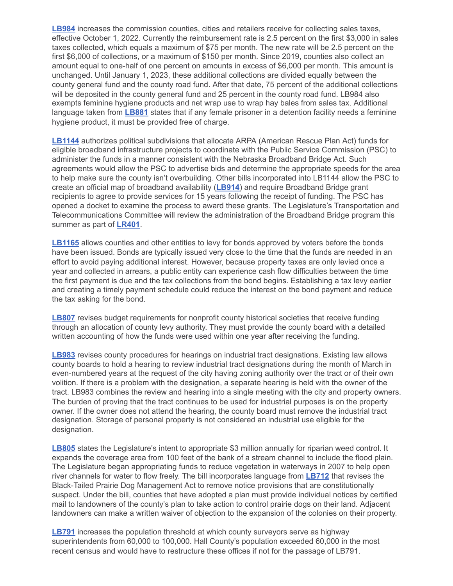**[LB984](https://nebraskalegislature.gov/bills/view_bill.php?DocumentID=47455)** increases the commission counties, cities and retailers receive for collecting sales taxes, effective October 1, 2022. Currently the reimbursement rate is 2.5 percent on the first \$3,000 in sales taxes collected, which equals a maximum of \$75 per month. The new rate will be 2.5 percent on the first \$6,000 of collections, or a maximum of \$150 per month. Since 2019, counties also collect an amount equal to one-half of one percent on amounts in excess of \$6,000 per month. This amount is unchanged. Until January 1, 2023, these additional collections are divided equally between the county general fund and the county road fund. After that date, 75 percent of the additional collections will be deposited in the county general fund and 25 percent in the county road fund. LB984 also exempts feminine hygiene products and net wrap use to wrap hay bales from sales tax. Additional language taken from **[LB881](https://nebraskalegislature.gov/bills/view_bill.php?DocumentID=47162)** states that if any female prisoner in a detention facility needs a feminine hygiene product, it must be provided free of charge.

**[LB1144](https://nebraskalegislature.gov/bills/view_bill.php?DocumentID=47647)** authorizes political subdivisions that allocate ARPA (American Rescue Plan Act) funds for eligible broadband infrastructure projects to coordinate with the Public Service Commission (PSC) to administer the funds in a manner consistent with the Nebraska Broadband Bridge Act. Such agreements would allow the PSC to advertise bids and determine the appropriate speeds for the area to help make sure the county isn't overbuilding. Other bills incorporated into LB1144 allow the PSC to create an official map of broadband availability (**[LB914](https://nebraskalegislature.gov/bills/view_bill.php?DocumentID=47277)**) and require Broadband Bridge grant recipients to agree to provide services for 15 years following the receipt of funding. The PSC has opened a docket to examine the process to award these grants. The Legislature's Transportation and Telecommunications Committee will review the administration of the Broadband Bridge program this summer as part of **[LR401](https://nebraskalegislature.gov/bills/view_bill.php?DocumentID=49116)**.

**[LB1165](https://nebraskalegislature.gov/bills/view_bill.php?DocumentID=47458)** allows counties and other entities to levy for bonds approved by voters before the bonds have been issued. Bonds are typically issued very close to the time that the funds are needed in an effort to avoid paying additional interest. However, because property taxes are only levied once a year and collected in arrears, a public entity can experience cash flow difficulties between the time the first payment is due and the tax collections from the bond begins. Establishing a tax levy earlier and creating a timely payment schedule could reduce the interest on the bond payment and reduce the tax asking for the bond.

**[LB807](https://nebraskalegislature.gov/bills/view_bill.php?DocumentID=47112)** revises budget requirements for nonprofit county historical societies that receive funding through an allocation of county levy authority. They must provide the county board with a detailed written accounting of how the funds were used within one year after receiving the funding.

**[LB983](https://nebraskalegislature.gov/bills/view_bill.php?DocumentID=47145)** revises county procedures for hearings on industrial tract designations. Existing law allows county boards to hold a hearing to review industrial tract designations during the month of March in even-numbered years at the request of the city having zoning authority over the tract or of their own volition. If there is a problem with the designation, a separate hearing is held with the owner of the tract. LB983 combines the review and hearing into a single meeting with the city and property owners. The burden of proving that the tract continues to be used for industrial purposes is on the property owner. If the owner does not attend the hearing, the county board must remove the industrial tract designation. Storage of personal property is not considered an industrial use eligible for the designation.

**[LB805](https://nebraskalegislature.gov/bills/view_bill.php?DocumentID=46949)** states the Legislature's intent to appropriate \$3 million annually for riparian weed control. It expands the coverage area from 100 feet of the bank of a stream channel to include the flood plain. The Legislature began appropriating funds to reduce vegetation in waterways in 2007 to help open river channels for water to flow freely. The bill incorporates language from **[LB712](https://nebraskalegislature.gov/bills/view_bill.php?DocumentID=47343)** that revises the Black-Tailed Prairie Dog Management Act to remove notice provisions that are constitutionally suspect. Under the bill, counties that have adopted a plan must provide individual notices by certified mail to landowners of the county's plan to take action to control prairie dogs on their land. Adjacent landowners can make a written waiver of objection to the expansion of the colonies on their property.

**[LB791](https://nebraskalegislature.gov/bills/view_bill.php?DocumentID=46864)** increases the population threshold at which county surveyors serve as highway superintendents from 60,000 to 100,000. Hall County's population exceeded 60,000 in the most recent census and would have to restructure these offices if not for the passage of LB791.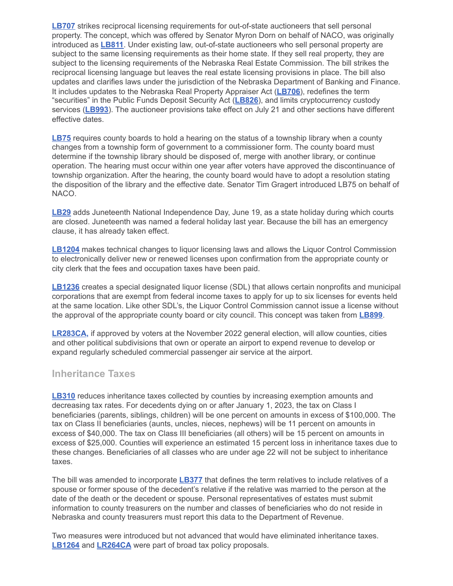**[LB707](https://nebraskalegislature.gov/bills/view_bill.php?DocumentID=47057)** strikes reciprocal licensing requirements for out-of-state auctioneers that sell personal property. The concept, which was offered by Senator Myron Dorn on behalf of NACO, was originally introduced as **[LB811](https://nebraskalegislature.gov/bills/view_bill.php?DocumentID=47350)**. Under existing law, out-of-state auctioneers who sell personal property are subject to the same licensing requirements as their home state. If they sell real property, they are subject to the licensing requirements of the Nebraska Real Estate Commission. The bill strikes the reciprocal licensing language but leaves the real estate licensing provisions in place. The bill also updates and clarifies laws under the jurisdiction of the Nebraska Department of Banking and Finance. It includes updates to the Nebraska Real Property Appraiser Act (**[LB706](https://nebraskalegislature.gov/bills/view_bill.php?DocumentID=46653)**), redefines the term "securities" in the Public Funds Deposit Security Act (**[LB826](https://nebraskalegislature.gov/bills/view_bill.php?DocumentID=47140)**), and limits cryptocurrency custody services (**[LB993](https://nebraskalegislature.gov/bills/view_bill.php?DocumentID=47017)**). The auctioneer provisions take effect on July 21 and other sections have different effective dates.

**[LB75](https://nebraskalegislature.gov/bills/view_bill.php?DocumentID=43901)** requires county boards to hold a hearing on the status of a township library when a county changes from a township form of government to a commissioner form. The county board must determine if the township library should be disposed of, merge with another library, or continue operation. The hearing must occur within one year after voters have approved the discontinuance of township organization. After the hearing, the county board would have to adopt a resolution stating the disposition of the library and the effective date. Senator Tim Gragert introduced LB75 on behalf of NACO.

**[LB29](https://nebraskalegislature.gov/bills/view_bill.php?DocumentID=43796)** adds Juneteenth National Independence Day, June 19, as a state holiday during which courts are closed. Juneteenth was named a federal holiday last year. Because the bill has an emergency clause, it has already taken effect.

**[LB1204](https://nebraskalegislature.gov/bills/view_bill.php?DocumentID=47373)** makes technical changes to liquor licensing laws and allows the Liquor Control Commission to electronically deliver new or renewed licenses upon confirmation from the appropriate county or city clerk that the fees and occupation taxes have been paid.

**[LB1236](https://nebraskalegislature.gov/bills/view_bill.php?DocumentID=47701)** creates a special designated liquor license (SDL) that allows certain nonprofits and municipal corporations that are exempt from federal income taxes to apply for up to six licenses for events held at the same location. Like other SDL's, the Liquor Control Commission cannot issue a license without the approval of the appropriate county board or city council. This concept was taken from **[LB899](https://nebraskalegislature.gov/bills/view_bill.php?DocumentID=46629)**.

**[LR283CA,](https://nebraskalegislature.gov/bills/view_bill.php?DocumentID=47071)** if approved by voters at the November 2022 general election, will allow counties, cities and other political subdivisions that own or operate an airport to expend revenue to develop or expand regularly scheduled commercial passenger air service at the airport.

## **Inheritance Taxes**

**[LB310](https://nebraskalegislature.gov/bills/view_bill.php?DocumentID=43516)** reduces inheritance taxes collected by counties by increasing exemption amounts and decreasing tax rates. For decedents dying on or after January 1, 2023, the tax on Class I beneficiaries (parents, siblings, children) will be one percent on amounts in excess of \$100,000. The tax on Class II beneficiaries (aunts, uncles, nieces, nephews) will be 11 percent on amounts in excess of \$40,000. The tax on Class III beneficiaries (all others) will be 15 percent on amounts in excess of \$25,000. Counties will experience an estimated 15 percent loss in inheritance taxes due to these changes. Beneficiaries of all classes who are under age 22 will not be subject to inheritance taxes.

The bill was amended to incorporate **[LB377](https://nebraskalegislature.gov/bills/view_bill.php?DocumentID=43873)** that defines the term relatives to include relatives of a spouse or former spouse of the decedent's relative if the relative was married to the person at the date of the death or the decedent or spouse. Personal representatives of estates must submit information to county treasurers on the number and classes of beneficiaries who do not reside in Nebraska and county treasurers must report this data to the Department of Revenue.

Two measures were introduced but not advanced that would have eliminated inheritance taxes. **[LB1264](https://nebraskalegislature.gov/bills/view_bill.php?DocumentID=47356)** and **[LR264CA](https://nebraskalegislature.gov/bills/view_bill.php?DocumentID=47102)** were part of broad tax policy proposals.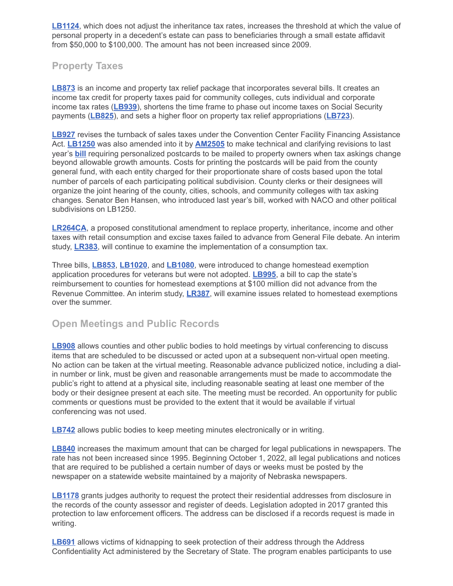**[LB1124](https://nebraskalegislature.gov/bills/view_bill.php?DocumentID=47740)**, which does not adjust the inheritance tax rates, increases the threshold at which the value of personal property in a decedent's estate can pass to beneficiaries through a small estate affidavit from \$50,000 to \$100,000. The amount has not been increased since 2009.

# **Property Taxes**

**[LB873](https://nebraskalegislature.gov/bills/view_bill.php?DocumentID=47318)** is an income and property tax relief package that incorporates several bills. It creates an income tax credit for property taxes paid for community colleges, cuts individual and corporate income tax rates (**[LB939](https://nebraskalegislature.gov/bills/view_bill.php?DocumentID=47407)**), shortens the time frame to phase out income taxes on Social Security payments (**[LB825](https://nebraskalegislature.gov/bills/view_bill.php?DocumentID=47038)**), and sets a higher floor on property tax relief appropriations (**[LB723](https://nebraskalegislature.gov/bills/view_bill.php?DocumentID=46906)**).

**[LB927](https://nebraskalegislature.gov/bills/view_bill.php?DocumentID=46909)** revises the turnback of sales taxes under the Convention Center Facility Financing Assistance Act. **[LB1250](https://nebraskalegislature.gov/bills/view_bill.php?DocumentID=47696)** was also amended into it by **[AM2505](https://nebraskalegislature.gov/FloorDocs/107/PDF/AM/AM2505.pdf)** to make technical and clarifying revisions to last year's **[bill](https://nebraskalegislature.gov/bills/view_bill.php?DocumentID=44190)** requiring personalized postcards to be mailed to property owners when tax askings change beyond allowable growth amounts. Costs for printing the postcards will be paid from the county general fund, with each entity charged for their proportionate share of costs based upon the total number of parcels of each participating political subdivision. County clerks or their designees will organize the joint hearing of the county, cities, schools, and community colleges with tax asking changes. Senator Ben Hansen, who introduced last year's bill, worked with NACO and other political subdivisions on LB1250.

**[LR264CA](https://nebraskalegislature.gov/bills/view_bill.php?DocumentID=47102)**, a proposed constitutional amendment to replace property, inheritance, income and other taxes with retail consumption and excise taxes failed to advance from General File debate. An interim study, **[LR383](https://nebraskalegislature.gov/bills/view_bill.php?DocumentID=49008)**, will continue to examine the implementation of a consumption tax.

Three bills, **[LB853](https://nebraskalegislature.gov/bills/view_bill.php?DocumentID=46652)**, **[LB1020](https://nebraskalegislature.gov/bills/view_bill.php?DocumentID=47587)**, and **[LB1080](https://nebraskalegislature.gov/bills/view_bill.php?DocumentID=47379)**, were introduced to change homestead exemption application procedures for veterans but were not adopted. **[LB995](https://nebraskalegislature.gov/bills/view_bill.php?DocumentID=47460)**, a bill to cap the state's reimbursement to counties for homestead exemptions at \$100 million did not advance from the Revenue Committee. An interim study, **[LR387](https://nebraskalegislature.gov/bills/view_bill.php?DocumentID=49110)**, will examine issues related to homestead exemptions over the summer.

# **Open Meetings and Public Records**

**[LB908](https://nebraskalegislature.gov/bills/view_bill.php?DocumentID=47156)** allows counties and other public bodies to hold meetings by virtual conferencing to discuss items that are scheduled to be discussed or acted upon at a subsequent non-virtual open meeting. No action can be taken at the virtual meeting. Reasonable advance publicized notice, including a dialin number or link, must be given and reasonable arrangements must be made to accommodate the public's right to attend at a physical site, including reasonable seating at least one member of the body or their designee present at each site. The meeting must be recorded. An opportunity for public comments or questions must be provided to the extent that it would be available if virtual conferencing was not used.

**[LB742](https://nebraskalegislature.gov/bills/view_bill.php?DocumentID=47427)** allows public bodies to keep meeting minutes electronically or in writing.

**[LB840](https://nebraskalegislature.gov/bills/view_bill.php?DocumentID=47018)** increases the maximum amount that can be charged for legal publications in newspapers. The rate has not been increased since 1995. Beginning October 1, 2022, all legal publications and notices that are required to be published a certain number of days or weeks must be posted by the newspaper on a statewide website maintained by a majority of Nebraska newspapers.

**[LB1178](https://nebraskalegislature.gov/bills/view_bill.php?DocumentID=47115)** grants judges authority to request the protect their residential addresses from disclosure in the records of the county assessor and register of deeds. Legislation adopted in 2017 granted this protection to law enforcement officers. The address can be disclosed if a records request is made in writing.

**[LB691](https://nebraskalegislature.gov/bills/view_bill.php?DocumentID=47336)** allows victims of kidnapping to seek protection of their address through the Address Confidentiality Act administered by the Secretary of State. The program enables participants to use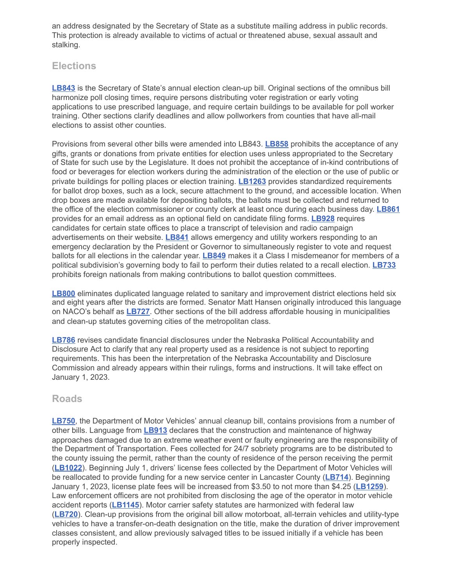an address designated by the Secretary of State as a substitute mailing address in public records. This protection is already available to victims of actual or threatened abuse, sexual assault and stalking.

# **Elections**

**[LB843](https://nebraskalegislature.gov/bills/view_bill.php?DocumentID=47332)** is the Secretary of State's annual election clean-up bill. Original sections of the omnibus bill harmonize poll closing times, require persons distributing voter registration or early voting applications to use prescribed language, and require certain buildings to be available for poll worker training. Other sections clarify deadlines and allow pollworkers from counties that have all-mail elections to assist other counties.

Provisions from several other bills were amended into LB843. **[LB858](https://nebraskalegislature.gov/bills/view_bill.php?DocumentID=47334)** prohibits the acceptance of any gifts, grants or donations from private entities for election uses unless appropriated to the Secretary of State for such use by the Legislature. It does not prohibit the acceptance of in-kind contributions of food or beverages for election workers during the administration of the election or the use of public or private buildings for polling places or election training. **[LB1263](https://nebraskalegislature.gov/bills/view_bill.php?DocumentID=47547)** provides standardized requirements for ballot drop boxes, such as a lock, secure attachment to the ground, and accessible location. When drop boxes are made available for depositing ballots, the ballots must be collected and returned to the office of the election commissioner or county clerk at least once during each business day. **[LB861](https://nebraskalegislature.gov/bills/view_bill.php?DocumentID=47439)** provides for an email address as an optional field on candidate filing forms. **[LB928](https://nebraskalegislature.gov/bills/view_bill.php?DocumentID=47207)** requires candidates for certain state offices to place a transcript of television and radio campaign advertisements on their website. **[LB841](https://nebraskalegislature.gov/bills/view_bill.php?DocumentID=47333)** allows emergency and utility workers responding to an emergency declaration by the President or Governor to simultaneously register to vote and request ballots for all elections in the calendar year. **[LB849](https://nebraskalegislature.gov/bills/view_bill.php?DocumentID=47314)** makes it a Class I misdemeanor for members of a political subdivision's governing body to fail to perform their duties related to a recall election. **[LB733](https://nebraskalegislature.gov/bills/view_bill.php?DocumentID=47066)** prohibits foreign nationals from making contributions to ballot question committees.

**[LB800](https://nebraskalegislature.gov/bills/view_bill.php?DocumentID=46655)** eliminates duplicated language related to sanitary and improvement district elections held six and eight years after the districts are formed. Senator Matt Hansen originally introduced this language on NACO's behalf as **[LB727](https://nebraskalegislature.gov/bills/view_bill.php?DocumentID=46843)**. Other sections of the bill address affordable housing in municipalities and clean-up statutes governing cities of the metropolitan class.

**[LB786](https://nebraskalegislature.gov/bills/view_bill.php?DocumentID=46610)** revises candidate financial disclosures under the Nebraska Political Accountability and Disclosure Act to clarify that any real property used as a residence is not subject to reporting requirements. This has been the interpretation of the Nebraska Accountability and Disclosure Commission and already appears within their rulings, forms and instructions. It will take effect on January 1, 2023.

#### **Roads**

**[LB750](https://nebraskalegislature.gov/bills/view_bill.php?DocumentID=47194)**, the Department of Motor Vehicles' annual cleanup bill, contains provisions from a number of other bills. Language from **[LB913](https://nebraskalegislature.gov/bills/view_bill.php?DocumentID=47053)** declares that the construction and maintenance of highway approaches damaged due to an extreme weather event or faulty engineering are the responsibility of the Department of Transportation. Fees collected for 24/7 sobriety programs are to be distributed to the county issuing the permit, rather than the county of residence of the person receiving the permit (**[LB1022](https://nebraskalegislature.gov/bills/view_bill.php?DocumentID=47279)**). Beginning July 1, drivers' license fees collected by the Department of Motor Vehicles will be reallocated to provide funding for a new service center in Lancaster County (**[LB714](https://nebraskalegislature.gov/bills/view_bill.php?DocumentID=46987)**). Beginning January 1, 2023, license plate fees will be increased from \$3.50 to not more than \$4.25 (**[LB1259](https://nebraskalegislature.gov/bills/view_bill.php?DocumentID=46849)**). Law enforcement officers are not prohibited from disclosing the age of the operator in motor vehicle accident reports (**[LB1145](https://nebraskalegislature.gov/bills/view_bill.php?DocumentID=47593)**). Motor carrier safety statutes are harmonized with federal law (**[LB720](https://nebraskalegislature.gov/bills/view_bill.php?DocumentID=46835)**). Clean-up provisions from the original bill allow motorboat, all-terrain vehicles and utility-type vehicles to have a transfer-on-death designation on the title, make the duration of driver improvement classes consistent, and allow previously salvaged titles to be issued initially if a vehicle has been properly inspected.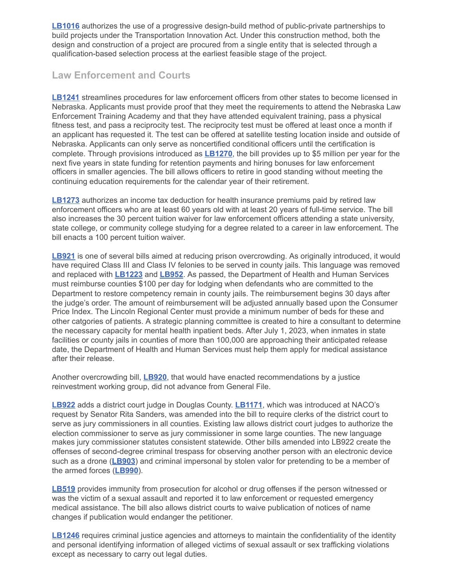**[LB1016](https://nebraskalegislature.gov/bills/view_bill.php?DocumentID=47234)** authorizes the use of a progressive design-build method of public-private partnerships to build projects under the Transportation Innovation Act. Under this construction method, both the design and construction of a project are procured from a single entity that is selected through a qualification-based selection process at the earliest feasible stage of the project.

# **Law Enforcement and Courts**

**[LB1241](https://nebraskalegislature.gov/bills/view_bill.php?DocumentID=47710)** streamlines procedures for law enforcement officers from other states to become licensed in Nebraska. Applicants must provide proof that they meet the requirements to attend the Nebraska Law Enforcement Training Academy and that they have attended equivalent training, pass a physical fitness test, and pass a reciprocity test. The reciprocity test must be offered at least once a month if an applicant has requested it. The test can be offered at satellite testing location inside and outside of Nebraska. Applicants can only serve as noncertified conditional officers until the certification is complete. Through provisions introduced as **[LB1270](https://nebraskalegislature.gov/bills/view_bill.php?DocumentID=47177)**, the bill provides up to \$5 million per year for the next five years in state funding for retention payments and hiring bonuses for law enforcement officers in smaller agencies. The bill allows officers to retire in good standing without meeting the continuing education requirements for the calendar year of their retirement.

**[LB1273](https://nebraskalegislature.gov/bills/view_bill.php?DocumentID=47176)** authorizes an income tax deduction for health insurance premiums paid by retired law enforcement officers who are at least 60 years old with at least 20 years of full-time service. The bill also increases the 30 percent tuition waiver for law enforcement officers attending a state university, state college, or community college studying for a degree related to a career in law enforcement. The bill enacts a 100 percent tuition waiver.

**[LB921](https://nebraskalegislature.gov/bills/view_bill.php?DocumentID=47375)** is one of several bills aimed at reducing prison overcrowding. As originally introduced, it would have required Class III and Class IV felonies to be served in county jails. This language was removed and replaced with **[LB1223](https://nebraskalegislature.gov/bills/view_bill.php?DocumentID=47008)** and **[LB952](https://nebraskalegislature.gov/bills/view_bill.php?DocumentID=47169)**. As passed, the Department of Health and Human Services must reimburse counties \$100 per day for lodging when defendants who are committed to the Department to restore competency remain in county jails. The reimbursement begins 30 days after the judge's order. The amount of reimbursement will be adjusted annually based upon the Consumer Price Index. The Lincoln Regional Center must provide a minimum number of beds for these and other catgories of patients. A strategic planning committee is created to hire a consultant to determine the necessary capacity for mental health inpatient beds. After July 1, 2023, when inmates in state facilities or county jails in counties of more than 100,000 are approaching their anticipated release date, the Department of Health and Human Services must help them apply for medical assistance after their release.

Another overcrowding bill, **[LB920](https://nebraskalegislature.gov/bills/view_bill.php?DocumentID=47530)**, that would have enacted recommendations by a justice reinvestment working group, did not advance from General File.

**[LB922](https://nebraskalegislature.gov/bills/view_bill.php?DocumentID=47288)** adds a district court judge in Douglas County. **[LB1171](https://nebraskalegislature.gov/bills/view_bill.php?DocumentID=47576)**, which was introduced at NACO's request by Senator Rita Sanders, was amended into the bill to require clerks of the district court to serve as jury commissioners in all counties. Existing law allows district court judges to authorize the election commissioner to serve as jury commissioner in some large counties. The new language makes jury commissioner statutes consistent statewide. Other bills amended into LB922 create the offenses of second-degree criminal trespass for observing another person with an electronic device such as a drone (**[LB903](https://nebraskalegislature.gov/bills/view_bill.php?DocumentID=47296)**) and criminal impersonal by stolen valor for pretending to be a member of the armed forces (**[LB990](https://nebraskalegislature.gov/bills/view_bill.php?DocumentID=47341)**).

**[LB519](https://nebraskalegislature.gov/bills/view_bill.php?DocumentID=44401)** provides immunity from prosecution for alcohol or drug offenses if the person witnessed or was the victim of a sexual assault and reported it to law enforcement or requested emergency medical assistance. The bill also allows district courts to waive publication of notices of name changes if publication would endanger the petitioner.

**[LB1246](https://nebraskalegislature.gov/bills/view_bill.php?DocumentID=47181)** requires criminal justice agencies and attorneys to maintain the confidentiality of the identity and personal identifying information of alleged victims of sexual assault or sex trafficking violations except as necessary to carry out legal duties.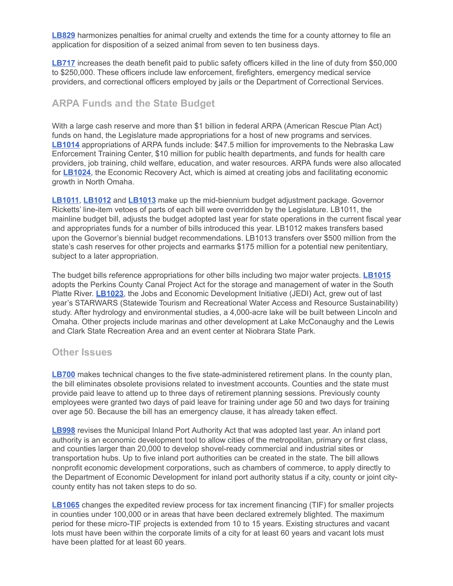**[LB829](https://nebraskalegislature.gov/bills/view_bill.php?DocumentID=47034)** harmonizes penalties for animal cruelty and extends the time for a county attorney to file an application for disposition of a seized animal from seven to ten business days.

**[LB717](https://nebraskalegislature.gov/bills/view_bill.php?DocumentID=47312)** increases the death benefit paid to public safety officers killed in the line of duty from \$50,000 to \$250,000. These officers include law enforcement, firefighters, emergency medical service providers, and correctional officers employed by jails or the Department of Correctional Services.

# **ARPA Funds and the State Budget**

With a large cash reserve and more than \$1 billion in federal ARPA (American Rescue Plan Act) funds on hand, the Legislature made appropriations for a host of new programs and services. **[LB1014](https://nebraskalegislature.gov/bills/view_bill.php?DocumentID=47196)** appropriations of ARPA funds include: \$47.5 million for improvements to the Nebraska Law Enforcement Training Center, \$10 million for public health departments, and funds for health care providers, job training, child welfare, education, and water resources. ARPA funds were also allocated for **[LB1024](https://nebraskalegislature.gov/bills/view_bill.php?DocumentID=47459)**, the Economic Recovery Act, which is aimed at creating jobs and facilitating economic growth in North Omaha.

**[LB1011](https://nebraskalegislature.gov/bills/view_bill.php?DocumentID=46975)**, **[LB1012](https://nebraskalegislature.gov/bills/view_bill.php?DocumentID=46976)** and **[LB1013](https://nebraskalegislature.gov/bills/view_bill.php?DocumentID=46977)** make up the mid-biennium budget adjustment package. Governor Ricketts' line-item vetoes of parts of each bill were overridden by the Legislature. LB1011, the mainline budget bill, adjusts the budget adopted last year for state operations in the current fiscal year and appropriates funds for a number of bills introduced this year. LB1012 makes transfers based upon the Governor's biennial budget recommendations. LB1013 transfers over \$500 million from the state's cash reserves for other projects and earmarks \$175 million for a potential new penitentiary, subject to a later appropriation.

The budget bills reference appropriations for other bills including two major water projects. **[LB1015](https://nebraskalegislature.gov/bills/view_bill.php?DocumentID=47225)** adopts the Perkins County Canal Project Act for the storage and management of water in the South Platte River. **[LB1023](https://nebraskalegislature.gov/bills/view_bill.php?DocumentID=47244)**, the Jobs and Economic Development Initiative (JEDI) Act, grew out of last year's STARWARS (Statewide Tourism and Recreational Water Access and Resource Sustainability) study. After hydrology and environmental studies, a 4,000-acre lake will be built between Lincoln and Omaha. Other projects include marinas and other development at Lake McConaughy and the Lewis and Clark State Recreation Area and an event center at Niobrara State Park.

#### **Other Issues**

**[LB700](https://nebraskalegislature.gov/bills/view_bill.php?DocumentID=47217)** makes technical changes to the five state-administered retirement plans. In the county plan, the bill eliminates obsolete provisions related to investment accounts. Counties and the state must provide paid leave to attend up to three days of retirement planning sessions. Previously county employees were granted two days of paid leave for training under age 50 and two days for training over age 50. Because the bill has an emergency clause, it has already taken effect.

**[LB998](https://nebraskalegislature.gov/bills/view_bill.php?DocumentID=46876)** revises the Municipal Inland Port Authority Act that was adopted last year. An inland port authority is an economic development tool to allow cities of the metropolitan, primary or first class, and counties larger than 20,000 to develop shovel-ready commercial and industrial sites or transportation hubs. Up to five inland port authorities can be created in the state. The bill allows nonprofit economic development corporations, such as chambers of commerce, to apply directly to the Department of Economic Development for inland port authority status if a city, county or joint citycounty entity has not taken steps to do so.

**[LB1065](https://nebraskalegislature.gov/bills/view_bill.php?DocumentID=47583)** changes the expedited review process for tax increment financing (TIF) for smaller projects in counties under 100,000 or in areas that have been declared extremely blighted. The maximum period for these micro-TIF projects is extended from 10 to 15 years. Existing structures and vacant lots must have been within the corporate limits of a city for at least 60 years and vacant lots must have been platted for at least 60 years.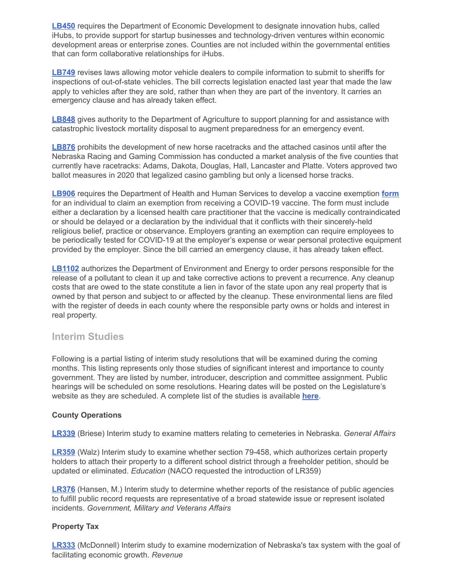**[LB450](https://nebraskalegislature.gov/bills/view_bill.php?DocumentID=44236)** requires the Department of Economic Development to designate innovation hubs, called iHubs, to provide support for startup businesses and technology-driven ventures within economic development areas or enterprise zones. Counties are not included within the governmental entities that can form collaborative relationships for iHubs.

**[LB749](https://nebraskalegislature.gov/bills/view_bill.php?DocumentID=46927)** revises laws allowing motor vehicle dealers to compile information to submit to sheriffs for inspections of out-of-state vehicles. The bill corrects legislation enacted last year that made the law apply to vehicles after they are sold, rather than when they are part of the inventory. It carries an emergency clause and has already taken effect.

**[LB848](https://nebraskalegislature.gov/bills/view_bill.php?DocumentID=46973)** gives authority to the Department of Agriculture to support planning for and assistance with catastrophic livestock mortality disposal to augment preparedness for an emergency event.

**[LB876](https://nebraskalegislature.gov/bills/view_bill.php?DocumentID=47260)** prohibits the development of new horse racetracks and the attached casinos until after the Nebraska Racing and Gaming Commission has conducted a market analysis of the five counties that currently have racetracks: Adams, Dakota, Douglas, Hall, Lancaster and Platte. Voters approved two ballot measures in 2020 that legalized casino gambling but only a licensed horse tracks.

**[LB906](https://nebraskalegislature.gov/bills/view_bill.php?DocumentID=47444)** requires the Department of Health and Human Services to develop a vaccine exemption **[form](https://dhhs.ne.gov/Documents/COVID-19-Vaccine-Exemption-Form.pdf)** for an individual to claim an exemption from receiving a COVID-19 vaccine. The form must include either a declaration by a licensed health care practitioner that the vaccine is medically contraindicated or should be delayed or a declaration by the individual that it conflicts with their sincerely-held religious belief, practice or observance. Employers granting an exemption can require employees to be periodically tested for COVID-19 at the employer's expense or wear personal protective equipment provided by the employer. Since the bill carried an emergency clause, it has already taken effect.

**[LB1102](https://nebraskalegislature.gov/bills/view_bill.php?DocumentID=47107)** authorizes the Department of Environment and Energy to order persons responsible for the release of a pollutant to clean it up and take corrective actions to prevent a recurrence. Any cleanup costs that are owed to the state constitute a lien in favor of the state upon any real property that is owned by that person and subject to or affected by the cleanup. These environmental liens are filed with the register of deeds in each county where the responsible party owns or holds and interest in real property.

## **Interim Studies**

Following is a partial listing of interim study resolutions that will be examined during the coming months. This listing represents only those studies of significant interest and importance to county government. They are listed by number, introducer, description and committee assignment. Public hearings will be scheduled on some resolutions. Hearing dates will be posted on the Legislature's website as they are scheduled. A complete list of the studies is available **[here](https://nebraskalegislature.gov/session/interim.php)**.

#### **County Operations**

**[LR339](https://nebraskalegislature.gov/bills/view_bill.php?DocumentID=48789)** (Briese) Interim study to examine matters relating to cemeteries in Nebraska. *General Affairs*

**[LR359](https://nebraskalegislature.gov/bills/view_bill.php?DocumentID=48697)** (Walz) Interim study to examine whether section 79-458, which authorizes certain property holders to attach their property to a different school district through a freeholder petition, should be updated or eliminated. *Education* (NACO requested the introduction of LR359)

**[LR376](https://nebraskalegislature.gov/bills/view_bill.php?DocumentID=49000)** (Hansen, M.) Interim study to determine whether reports of the resistance of public agencies to fulfill public record requests are representative of a broad statewide issue or represent isolated incidents. *Government, Military and Veterans Affairs*

#### **Property Tax**

**[LR333](https://nebraskalegislature.gov/bills/view_bill.php?DocumentID=48706)** (McDonnell) Interim study to examine modernization of Nebraska's tax system with the goal of facilitating economic growth. *Revenue*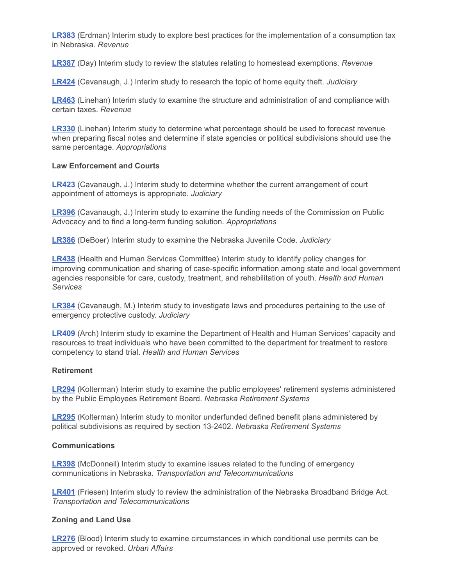**[LR383](https://nebraskalegislature.gov/bills/view_bill.php?DocumentID=49008)** (Erdman) Interim study to explore best practices for the implementation of a consumption tax in Nebraska. *Revenue*

**[LR387](https://nebraskalegislature.gov/bills/view_bill.php?DocumentID=49110)** (Day) Interim study to review the statutes relating to homestead exemptions. *Revenue*

**[LR424](https://nebraskalegislature.gov/bills/view_bill.php?DocumentID=49215)** (Cavanaugh, J.) Interim study to research the topic of home equity theft. *Judiciary*

**[LR463](https://nebraskalegislature.gov/bills/view_bill.php?DocumentID=49622)** (Linehan) Interim study to examine the structure and administration of and compliance with certain taxes. *Revenue*

**[LR330](https://nebraskalegislature.gov/bills/view_bill.php?DocumentID=48273)** (Linehan) Interim study to determine what percentage should be used to forecast revenue when preparing fiscal notes and determine if state agencies or political subdivisions should use the same percentage. *Appropriations*

#### **Law Enforcement and Courts**

**[LR423](https://nebraskalegislature.gov/bills/view_bill.php?DocumentID=49206)** (Cavanaugh, J.) Interim study to determine whether the current arrangement of court appointment of attorneys is appropriate. *Judiciary*

**[LR396](https://nebraskalegislature.gov/bills/view_bill.php?DocumentID=49131)** (Cavanaugh, J.) Interim study to examine the funding needs of the Commission on Public Advocacy and to find a long-term funding solution. *Appropriations*

**[LR386](https://nebraskalegislature.gov/bills/view_bill.php?DocumentID=48724)** (DeBoer) Interim study to examine the Nebraska Juvenile Code. *Judiciary*

**[LR438](https://nebraskalegislature.gov/bills/view_bill.php?DocumentID=49471)** (Health and Human Services Committee) Interim study to identify policy changes for improving communication and sharing of case-specific information among state and local government agencies responsible for care, custody, treatment, and rehabilitation of youth. *Health and Human Services*

**[LR384](https://nebraskalegislature.gov/bills/view_bill.php?DocumentID=49097)** (Cavanaugh, M.) Interim study to investigate laws and procedures pertaining to the use of emergency protective custody. *Judiciary*

**[LR409](https://nebraskalegislature.gov/bills/view_bill.php?DocumentID=49192)** (Arch) Interim study to examine the Department of Health and Human Services' capacity and resources to treat individuals who have been committed to the department for treatment to restore competency to stand trial. *Health and Human Services*

#### **Retirement**

**[LR294](https://nebraskalegislature.gov/bills/view_bill.php?DocumentID=48082)** (Kolterman) Interim study to examine the public employees' retirement systems administered by the Public Employees Retirement Board. *Nebraska Retirement Systems*

**[LR295](https://nebraskalegislature.gov/bills/view_bill.php?DocumentID=48083)** (Kolterman) Interim study to monitor underfunded defined benefit plans administered by political subdivisions as required by section 13-2402. *Nebraska Retirement Systems*

#### **Communications**

**[LR398](https://nebraskalegislature.gov/bills/view_bill.php?DocumentID=49140)** (McDonnell) Interim study to examine issues related to the funding of emergency communications in Nebraska. *Transportation and Telecommunications*

**[LR401](https://nebraskalegislature.gov/bills/view_bill.php?DocumentID=49116)** (Friesen) Interim study to review the administration of the Nebraska Broadband Bridge Act. *Transportation and Telecommunications*

#### **Zoning and Land Use**

**[LR276](https://nebraskalegislature.gov/bills/view_bill.php?DocumentID=47306)** (Blood) Interim study to examine circumstances in which conditional use permits can be approved or revoked. *Urban Affairs*